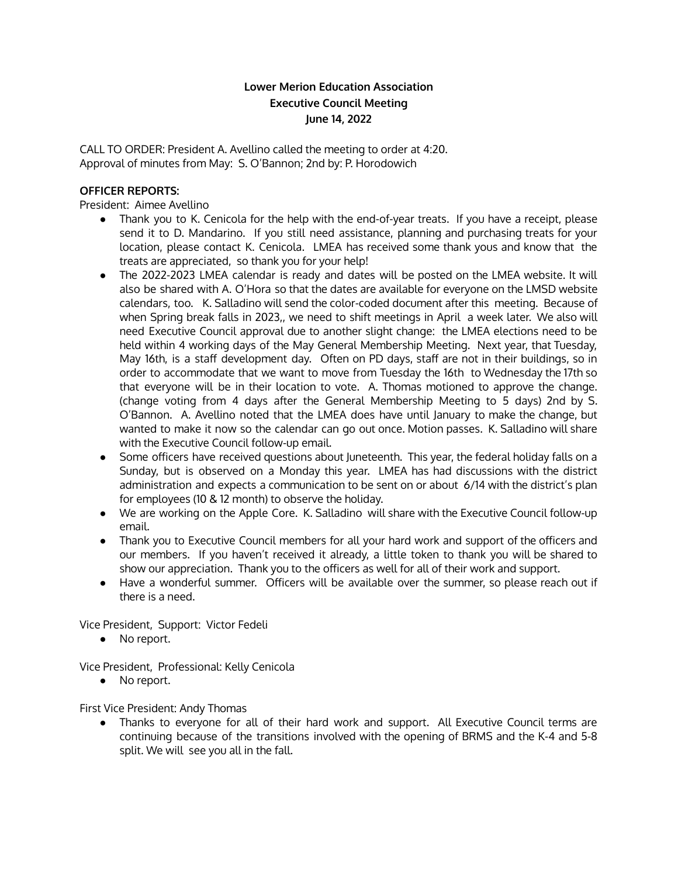# **Lower Merion Education Association Executive Council Meeting June 14, 2022**

CALL TO ORDER: President A. Avellino called the meeting to order at 4:20. Approval of minutes from May: S. O'Bannon; 2nd by: P. Horodowich

## **OFFICER REPORTS:**

President: Aimee Avellino

- Thank you to K. Cenicola for the help with the end-of-year treats. If you have a receipt, please send it to D. Mandarino. If you still need assistance, planning and purchasing treats for your location, please contact K. Cenicola. LMEA has received some thank yous and know that the treats are appreciated, so thank you for your help!
- The 2022-2023 LMEA calendar is ready and dates will be posted on the LMEA website. It will also be shared with A. O'Hora so that the dates are available for everyone on the LMSD website calendars, too. K. Salladino will send the color-coded document after this meeting. Because of when Spring break falls in 2023,, we need to shift meetings in April a week later. We also will need Executive Council approval due to another slight change: the LMEA elections need to be held within 4 working days of the May General Membership Meeting. Next year, that Tuesday, May 16th, is a staff development day. Often on PD days, staff are not in their buildings, so in order to accommodate that we want to move from Tuesday the 16th to Wednesday the 17th so that everyone will be in their location to vote. A. Thomas motioned to approve the change. (change voting from 4 days after the General Membership Meeting to 5 days) 2nd by S. O'Bannon. A. Avellino noted that the LMEA does have until January to make the change, but wanted to make it now so the calendar can go out once. Motion passes. K. Salladino will share with the Executive Council follow-up email.
- Some officers have received questions about Juneteenth. This year, the federal holiday falls on a Sunday, but is observed on a Monday this year. LMEA has had discussions with the district administration and expects a communication to be sent on or about 6/14 with the district's plan for employees (10 & 12 month) to observe the holiday.
- We are working on the Apple Core. K. Salladino will share with the Executive Council follow-up email.
- Thank you to Executive Council members for all your hard work and support of the officers and our members. If you haven't received it already, a little token to thank you will be shared to show our appreciation. Thank you to the officers as well for all of their work and support.
- Have a wonderful summer. Officers will be available over the summer, so please reach out if there is a need.

Vice President, Support: Victor Fedeli

● No report.

Vice President, Professional: Kelly Cenicola

• No report.

First Vice President: Andy Thomas

Thanks to everyone for all of their hard work and support. All Executive Council terms are continuing because of the transitions involved with the opening of BRMS and the K-4 and 5-8 split. We will see you all in the fall.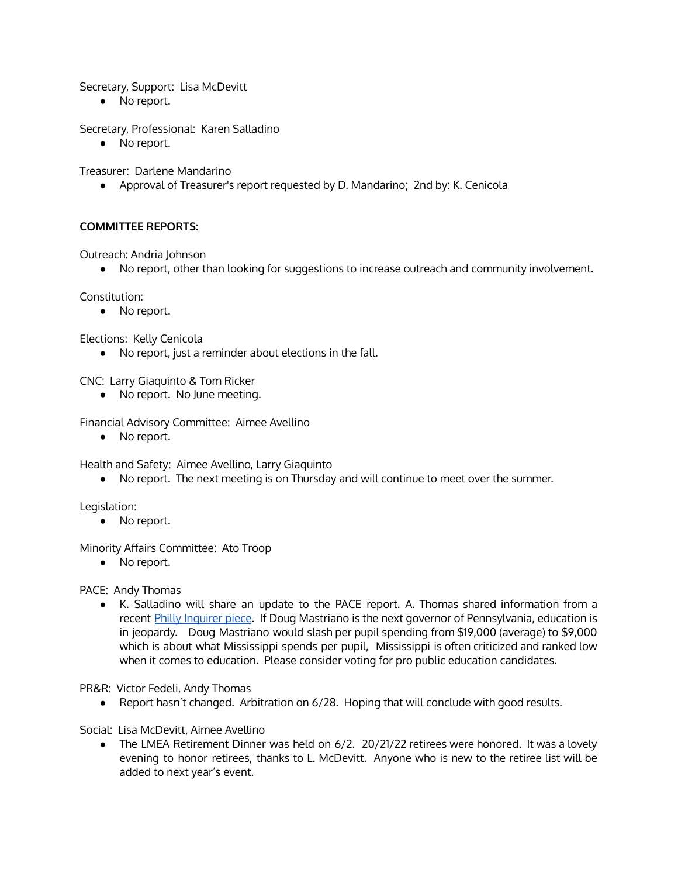Secretary, Support: Lisa McDevitt

● No report.

Secretary, Professional: Karen Salladino

• No report.

Treasurer: Darlene Mandarino

● Approval of Treasurer's report requested by D. Mandarino; 2nd by: K. Cenicola

### **COMMITTEE REPORTS:**

Outreach: Andria Johnson

● No report, other than looking for suggestions to increase outreach and community involvement.

Constitution:

● No report.

Elections: Kelly Cenicola

● No report, just a reminder about elections in the fall.

CNC: Larry Giaquinto & Tom Ricker

● No report. No June meeting.

Financial Advisory Committee: Aimee Avellino

● No report.

Health and Safety: Aimee Avellino, Larry Giaquinto

● No report. The next meeting is on Thursday and will continue to meet over the summer.

Legislation:

● No report.

Minority Affairs Committee: Ato Troop

● No report.

PACE: Andy Thomas

● K. Salladino will share an update to the PACE report. A. Thomas shared information from a recent Philly [Inquirer](https://www.inquirer.com/opinion/commentary/doug-mastriano-education-plan-pennsylvania-20220612.html) piece. If Doug Mastriano is the next governor of Pennsylvania, education is in jeopardy. Doug Mastriano would slash per pupil spending from \$19,000 (average) to \$9,000 which is about what Mississippi spends per pupil, Mississippi is often criticized and ranked low when it comes to education. Please consider voting for pro public education candidates.

PR&R: Victor Fedeli, Andy Thomas

● Report hasn't changed. Arbitration on 6/28. Hoping that will conclude with good results.

Social: Lisa McDevitt, Aimee Avellino

• The LMEA Retirement Dinner was held on 6/2. 20/21/22 retirees were honored. It was a lovely evening to honor retirees, thanks to L. McDevitt. Anyone who is new to the retiree list will be added to next year's event.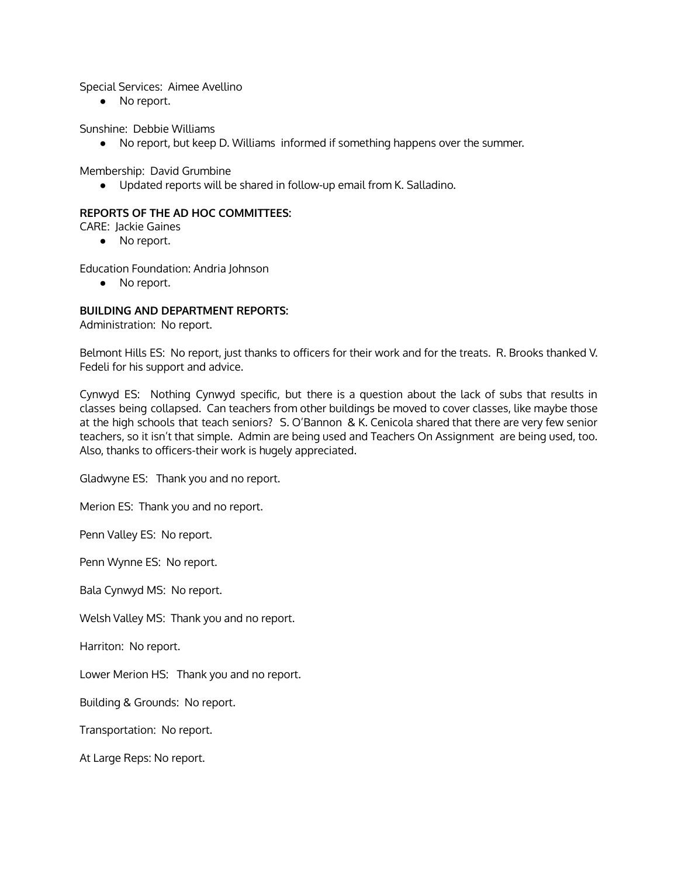Special Services: Aimee Avellino

● No report.

Sunshine: Debbie Williams

● No report, but keep D. Williams informed if something happens over the summer.

Membership: David Grumbine

● Updated reports will be shared in follow-up email from K. Salladino.

### **REPORTS OF THE AD HOC COMMITTEES:**

CARE: Jackie Gaines

● No report.

Education Foundation: Andria Johnson

● No report.

### **BUILDING AND DEPARTMENT REPORTS:**

Administration: No report.

Belmont Hills ES: No report, just thanks to officers for their work and for the treats. R. Brooks thanked V. Fedeli for his support and advice.

Cynwyd ES: Nothing Cynwyd specific, but there is a question about the lack of subs that results in classes being collapsed. Can teachers from other buildings be moved to cover classes, like maybe those at the high schools that teach seniors? S. O'Bannon & K. Cenicola shared that there are very few senior teachers, so it isn't that simple. Admin are being used and Teachers On Assignment are being used, too. Also, thanks to officers-their work is hugely appreciated.

Gladwyne ES: Thank you and no report.

Merion ES: Thank you and no report.

Penn Valley ES: No report.

Penn Wynne ES: No report.

Bala Cynwyd MS: No report.

Welsh Valley MS: Thank you and no report.

Harriton: No report.

Lower Merion HS: Thank you and no report.

Building & Grounds: No report.

Transportation: No report.

At Large Reps: No report.